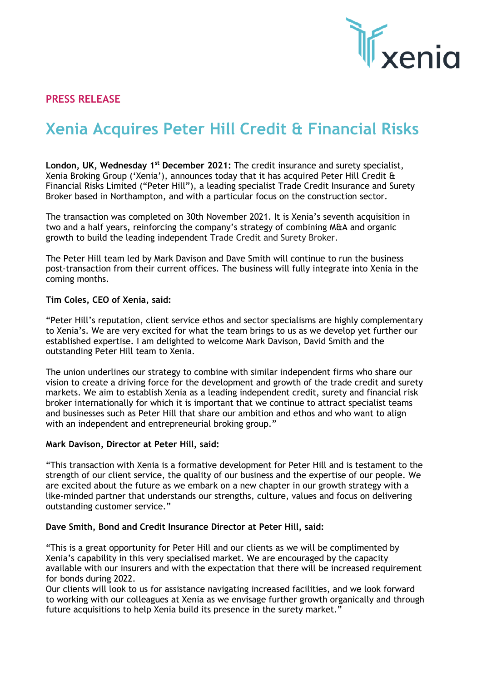

# **PRESS RELEASE**

# **Xenia Acquires Peter Hill Credit & Financial Risks**

**London, UK, Wednesday 1st December 2021:** The credit insurance and surety specialist, Xenia Broking Group ('Xenia'), announces today that it has acquired Peter Hill Credit & Financial Risks Limited ("Peter Hill"), a leading specialist Trade Credit Insurance and Surety Broker based in Northampton, and with a particular focus on the construction sector.

The transaction was completed on 30th November 2021. It is Xenia's seventh acquisition in two and a half years, reinforcing the company's strategy of combining M&A and organic growth to build the leading independent Trade Credit and Surety Broker.

The Peter Hill team led by Mark Davison and Dave Smith will continue to run the business post-transaction from their current offices. The business will fully integrate into Xenia in the coming months.

#### **Tim Coles, CEO of Xenia, said:**

"Peter Hill's reputation, client service ethos and sector specialisms are highly complementary to Xenia's. We are very excited for what the team brings to us as we develop yet further our established expertise. I am delighted to welcome Mark Davison, David Smith and the outstanding Peter Hill team to Xenia.

The union underlines our strategy to combine with similar independent firms who share our vision to create a driving force for the development and growth of the trade credit and surety markets. We aim to establish Xenia as a leading independent credit, surety and financial risk broker internationally for which it is important that we continue to attract specialist teams and businesses such as Peter Hill that share our ambition and ethos and who want to align with an independent and entrepreneurial broking group."

#### **Mark Davison, Director at Peter Hill, said:**

"This transaction with Xenia is a formative development for Peter Hill and is testament to the strength of our client service, the quality of our business and the expertise of our people. We are excited about the future as we embark on a new chapter in our growth strategy with a like-minded partner that understands our strengths, culture, values and focus on delivering outstanding customer service."

#### **Dave Smith, Bond and Credit Insurance Director at Peter Hill, said:**

"This is a great opportunity for Peter Hill and our clients as we will be complimented by Xenia's capability in this very specialised market. We are encouraged by the capacity available with our insurers and with the expectation that there will be increased requirement for bonds during 2022.

Our clients will look to us for assistance navigating increased facilities, and we look forward to working with our colleagues at Xenia as we envisage further growth organically and through future acquisitions to help Xenia build its presence in the surety market."